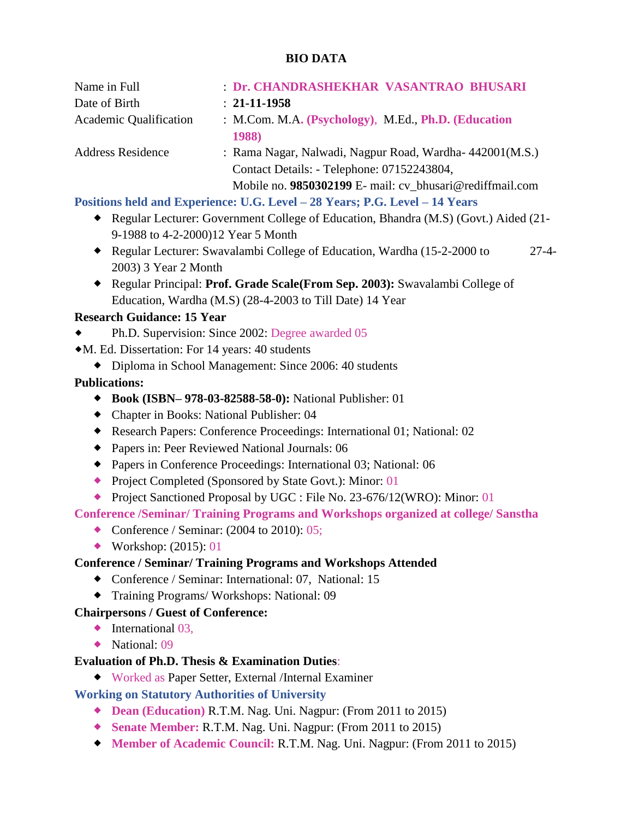# **BIO DATA**

| Name in Full                  | Dr. CHANDRASHEKHAR VASANTRAO BHUSARI                                                                                                                              |
|-------------------------------|-------------------------------------------------------------------------------------------------------------------------------------------------------------------|
| Date of Birth                 | $: 21 - 11 - 1958$                                                                                                                                                |
| <b>Academic Qualification</b> | : M.Com. M.A. (Psychology), M.Ed., Ph.D. (Education<br><b>1988</b>                                                                                                |
| <b>Address Residence</b>      | : Rama Nagar, Nalwadi, Nagpur Road, Wardha-442001(M.S.)<br>Contact Details: - Telephone: 07152243804,<br>Mobile no. 9850302199 E- mail: cv_bhusari@rediffmail.com |

# **Positions held and Experience: U.G. Level – 28 Years; P.G. Level – 14 Years**

- Regular Lecturer: Government College of Education, Bhandra (M.S) (Govt.) Aided (21- 9-1988 to 4-2-2000)12 Year 5 Month
- Regular Lecturer: Swavalambi College of Education, Wardha (15-2-2000 to 27-4- 2003) 3 Year 2 Month
- Regular Principal: **Prof. Grade Scale(From Sep. 2003):** Swavalambi College of Education, Wardha (M.S) (28-4-2003 to Till Date) 14 Year

## **Research Guidance: 15 Year**

- Ph.D. Supervision: Since 2002: Degree awarded 05
- M. Ed. Dissertation: For 14 years: 40 students
	- Diploma in School Management: Since 2006: 40 students

## **Publications:**

- **Book (ISBN– 978-03-82588-58-0):** National Publisher: 01
- Chapter in Books: National Publisher: 04
- Research Papers: Conference Proceedings: International 01; National: 02
- Papers in: Peer Reviewed National Journals: 06
- Papers in Conference Proceedings: International 03; National: 06
- ◆ Project Completed (Sponsored by State Govt.): Minor: 01
- ◆ Project Sanctioned Proposal by UGC : File No. 23-676/12(WRO): Minor: 01

**Conference /Seminar/ Training Programs and Workshops organized at college/ Sanstha**

- Conference / Seminar:  $(2004 \text{ to } 2010)$ : 05;
- ◆ Workshop: (2015): 01

#### **Conference / Seminar/ Training Programs and Workshops Attended**

- Conference / Seminar: International: 07, National: 15
- Training Programs/ Workshops: National: 09

# **Chairpersons / Guest of Conference:**

- $\blacklozenge$  International 03,
- ◆ National: 09

#### **Evaluation of Ph.D. Thesis & Examination Duties**:

Worked as Paper Setter, External /Internal Examiner

# **Working on Statutory Authorities of University**

- **Dean (Education)** R.T.M. Nag. Uni. Nagpur: (From 2011 to 2015)
- **Senate Member:** R.T.M. Nag. Uni. Nagpur: (From 2011 to 2015)
- **Member of Academic Council:** R.T.M. Nag. Uni. Nagpur: (From 2011 to 2015)